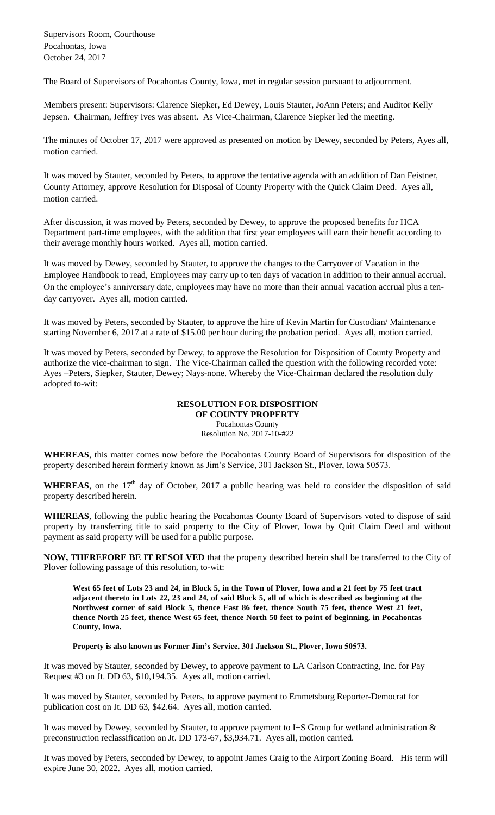Supervisors Room, Courthouse Pocahontas, Iowa October 24, 2017

The Board of Supervisors of Pocahontas County, Iowa, met in regular session pursuant to adjournment.

Members present: Supervisors: Clarence Siepker, Ed Dewey, Louis Stauter, JoAnn Peters; and Auditor Kelly Jepsen. Chairman, Jeffrey Ives was absent. As Vice-Chairman, Clarence Siepker led the meeting.

The minutes of October 17, 2017 were approved as presented on motion by Dewey, seconded by Peters, Ayes all, motion carried.

It was moved by Stauter, seconded by Peters, to approve the tentative agenda with an addition of Dan Feistner, County Attorney, approve Resolution for Disposal of County Property with the Quick Claim Deed. Ayes all, motion carried.

After discussion, it was moved by Peters, seconded by Dewey, to approve the proposed benefits for HCA Department part-time employees, with the addition that first year employees will earn their benefit according to their average monthly hours worked. Ayes all, motion carried.

It was moved by Dewey, seconded by Stauter, to approve the changes to the Carryover of Vacation in the Employee Handbook to read, Employees may carry up to ten days of vacation in addition to their annual accrual. On the employee's anniversary date, employees may have no more than their annual vacation accrual plus a tenday carryover. Ayes all, motion carried.

It was moved by Peters, seconded by Stauter, to approve the hire of Kevin Martin for Custodian/ Maintenance starting November 6, 2017 at a rate of \$15.00 per hour during the probation period. Ayes all, motion carried.

It was moved by Peters, seconded by Dewey, to approve the Resolution for Disposition of County Property and authorize the vice-chairman to sign. The Vice-Chairman called the question with the following recorded vote: Ayes –Peters, Siepker, Stauter, Dewey; Nays-none. Whereby the Vice-Chairman declared the resolution duly adopted to-wit:

## **RESOLUTION FOR DISPOSITION OF COUNTY PROPERTY**

Pocahontas County Resolution No. 2017-10-#22

**WHEREAS**, this matter comes now before the Pocahontas County Board of Supervisors for disposition of the property described herein formerly known as Jim's Service, 301 Jackson St., Plover, Iowa 50573.

**WHEREAS**, on the  $17<sup>th</sup>$  day of October, 2017 a public hearing was held to consider the disposition of said property described herein.

**WHEREAS**, following the public hearing the Pocahontas County Board of Supervisors voted to dispose of said property by transferring title to said property to the City of Plover, Iowa by Quit Claim Deed and without payment as said property will be used for a public purpose.

**NOW, THEREFORE BE IT RESOLVED** that the property described herein shall be transferred to the City of Plover following passage of this resolution, to-wit:

**West 65 feet of Lots 23 and 24, in Block 5, in the Town of Plover, Iowa and a 21 feet by 75 feet tract adjacent thereto in Lots 22, 23 and 24, of said Block 5, all of which is described as beginning at the Northwest corner of said Block 5, thence East 86 feet, thence South 75 feet, thence West 21 feet, thence North 25 feet, thence West 65 feet, thence North 50 feet to point of beginning, in Pocahontas County, Iowa.**

**Property is also known as Former Jim's Service, 301 Jackson St., Plover, Iowa 50573.**

It was moved by Stauter, seconded by Dewey, to approve payment to LA Carlson Contracting, Inc. for Pay Request #3 on Jt. DD 63, \$10,194.35. Ayes all, motion carried.

It was moved by Stauter, seconded by Peters, to approve payment to Emmetsburg Reporter-Democrat for publication cost on Jt. DD 63, \$42.64. Ayes all, motion carried.

It was moved by Dewey, seconded by Stauter, to approve payment to I+S Group for wetland administration & preconstruction reclassification on Jt. DD 173-67, \$3,934.71. Ayes all, motion carried.

It was moved by Peters, seconded by Dewey, to appoint James Craig to the Airport Zoning Board. His term will expire June 30, 2022. Ayes all, motion carried.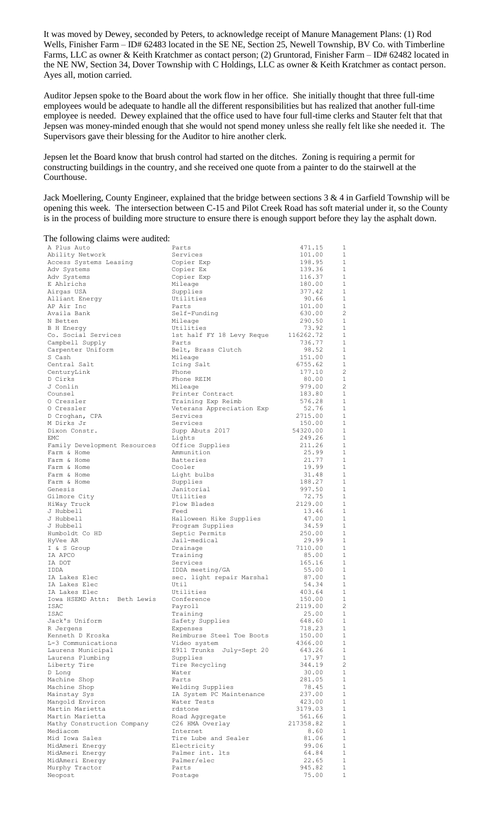It was moved by Dewey, seconded by Peters, to acknowledge receipt of Manure Management Plans: (1) Rod Wells, Finisher Farm – ID# 62483 located in the SE NE, Section 25, Newell Township, BV Co. with Timberline Farms, LLC as owner & Keith Kratchmer as contact person; (2) Gruntorad, Finisher Farm – ID# 62482 located in the NE NW, Section 34, Dover Township with C Holdings, LLC as owner & Keith Kratchmer as contact person. Ayes all, motion carried.

Auditor Jepsen spoke to the Board about the work flow in her office. She initially thought that three full-time employees would be adequate to handle all the different responsibilities but has realized that another full-time employee is needed. Dewey explained that the office used to have four full-time clerks and Stauter felt that that Jepsen was money-minded enough that she would not spend money unless she really felt like she needed it. The Supervisors gave their blessing for the Auditor to hire another clerk.

Jepsen let the Board know that brush control had started on the ditches. Zoning is requiring a permit for constructing buildings in the country, and she received one quote from a painter to do the stairwell at the Courthouse.

Jack Moellering, County Engineer, explained that the bridge between sections 3 & 4 in Garfield Township will be opening this week. The intersection between C-15 and Pilot Creek Road has soft material under it, so the County is in the process of building more structure to ensure there is enough support before they lay the asphalt down.

| The following claims were audited:     |                                    |                     |                                |
|----------------------------------------|------------------------------------|---------------------|--------------------------------|
| A Plus Auto                            | Parts                              | 471.15              | 1                              |
| Ability Network                        | Services                           | 101.00              | $\mathbf{1}$                   |
| Access Systems Leasing                 | Copier Exp                         | 198.95              | 1                              |
| Adv Systems                            | Copier Ex                          | 139.36<br>116.37    | 1<br>1                         |
| Adv Systems<br>E Ahlrichs              | Copier Exp<br>Mileage              | 180.00              | $\mathbf{1}$                   |
| Airgas USA                             | Supplies                           | 377.42              | $\mathbf{1}$                   |
| Alliant Energy                         | Utilities                          | 90.66               | 1                              |
| AP Air Inc                             | Parts                              | 101.00              | $\mathbf{1}$                   |
| Availa Bank                            | Self-Funding                       | 630.00              | $\overline{c}$                 |
| N Betten                               | Mileage                            | 290.50              | $\mathbf{1}$                   |
| B H Energy                             | Utilities                          | 73.92               | $\mathbf{1}$                   |
| Co. Social Services<br>Campbell Supply | 1st half FY 18 Levy Reque<br>Parts | 116262.72<br>736.77 | 1<br>1                         |
| Carpenter Uniform                      | Belt, Brass Clutch                 | 98.52               | 1                              |
| S Cash                                 | Mileage                            | 151.00              | 1                              |
| Central Salt                           | Icing Salt                         | 6755.62             | 1                              |
| CenturyLink                            | Phone                              | 177.10              | 2                              |
| D Cirks                                | Phone REIM                         | 80.00               | $\mathbf{1}$                   |
| J Conlin                               | Mileage<br>Printer Contract        | 979.00              | 2<br>1                         |
| Counsel<br>0 Cressler                  | Training Exp Reimb                 | 183.80<br>576.28    | $\mathbf{1}$                   |
| 0 Cressler                             | Veterans Appreciation Exp          | 52.76               | 1                              |
| D Croghan, CPA                         | Services                           | 2715.00             | 1                              |
| M Dirks Jr                             | Services                           | 150.00              | $\mathbf{1}$                   |
| Dixon Constr.                          | Supp Abuts 2017                    | 54320.00            | 1                              |
| EMC                                    | Lights                             | 249.26              | $\mathbf{1}$                   |
| Family Development Resources           | Office Supplies<br>Ammunition      | 211.26<br>25.99     | 1<br>$\mathbf{1}$              |
| Farm & Home<br>Farm & Home             | <b>Batteries</b>                   | 21.77               | 1                              |
| Farm & Home                            | Cooler                             | 19.99               | $\mathbf{1}$                   |
| Farm & Home                            | Light bulbs                        | 31.48               | 1                              |
| Farm & Home                            | Supplies                           | 188.27              | $\mathbf{1}$                   |
| Genesis                                | Janitorial                         | 997.50              | $\mathbf{1}$                   |
| Gilmore City                           | Utilities                          | 72.75               | $\mathbf{1}$                   |
| HiWay Truck<br>J Hubbell               | Plow Blades<br>Feed                | 2129.00<br>13.46    | 1<br>1                         |
| J Hubbell                              | Halloween Hike Supplies            | 47.00               | 1                              |
| J Hubbell                              | Program Supplies                   | 34.59               | 1                              |
| Humboldt Co HD                         | Septic Permits                     | 250.00              | 1                              |
| HyVee AR                               | Jail-medical                       | 29.99               | $\mathbf{1}$                   |
| I & S Group                            | Drainage                           | 7110.00             | 1                              |
| IA APCO<br>IA DOT                      | Training<br>Services               | 85.00<br>165.16     | $\mathbf{1}$<br>1              |
| IDDA                                   | IDDA meeting/GA                    | 55.00               | 1                              |
| IA Lakes Elec                          | sec. light repair Marshal          | 87.00               | 1                              |
| IA Lakes Elec                          | Util                               | 54.34               | 1                              |
| IA Lakes Elec                          | Utilities                          | 403.64              | 1                              |
| Iowa HSEMD Attn: Beth Lewis            | Conference                         | 150.00              | 1                              |
| ISAC                                   | Payroll                            | 2119.00             | $\overline{c}$<br>$\mathbf{1}$ |
| ISAC<br>Jack's Uniform                 | Training<br>Safety Supplies        | 25.00<br>648.60     | $\mathbf{1}$                   |
| R Jergens                              | Expenses                           | 718.23              | $\mathbf{1}$                   |
| Kenneth D Kroska                       | Reimburse Steel Toe Boots          | 150.00              | $\mathbf 1$                    |
| L-3 Communications                     | Video system                       | 4366.00             | $\mathbf{1}$                   |
| Laurens Municipal                      | E911 Trunks July-Sept 20           | 643.26              | $\mathbf{1}$                   |
| Laurens Plumbing                       | Supplies                           | 17.97               | $\mathbf{1}$<br>$\overline{c}$ |
| Liberty Tire<br>D Long                 | Tire Recycling<br>Water            | 344.19<br>30.00     | 1                              |
| Machine Shop                           | Parts                              | 281.05              | 1                              |
| Machine Shop                           | Welding Supplies                   | 78.45               | 1                              |
| Mainstay Sys                           | IA System PC Maintenance           | 237.00              | $\mathbf{1}$                   |
| Mangold Environ                        | Water Tests                        | 423.00              | 1                              |
| Martin Marietta                        | rdstone                            | 3179.03             | $\mathbf 1$                    |
| Martin Marietta                        | Road Aggregate                     | 561.66              | $\mathbf{1}$<br>$\mathbf 1$    |
| Mathy Construction Company<br>Mediacom | C26 HMA Overlay<br>Internet        | 217358.82<br>8.60   | 1                              |
| Mid Iowa Sales                         | Tire Lube and Sealer               | 81.06               | $\mathbf{1}$                   |
| MidAmeri Energy                        | Electricity                        | 99.06               | 1                              |
| MidAmeri Energy                        | Palmer int. lts                    | 64.84               | $\mathbf{1}$                   |
| MidAmeri Energy                        | Palmer/elec                        | 22.65               | $\mathbf{1}$                   |
| Murphy Tractor<br>Neopost              | Parts<br>Postage                   | 945.82<br>75.00     | $\mathbf{1}$<br>$1\,$          |
|                                        |                                    |                     |                                |